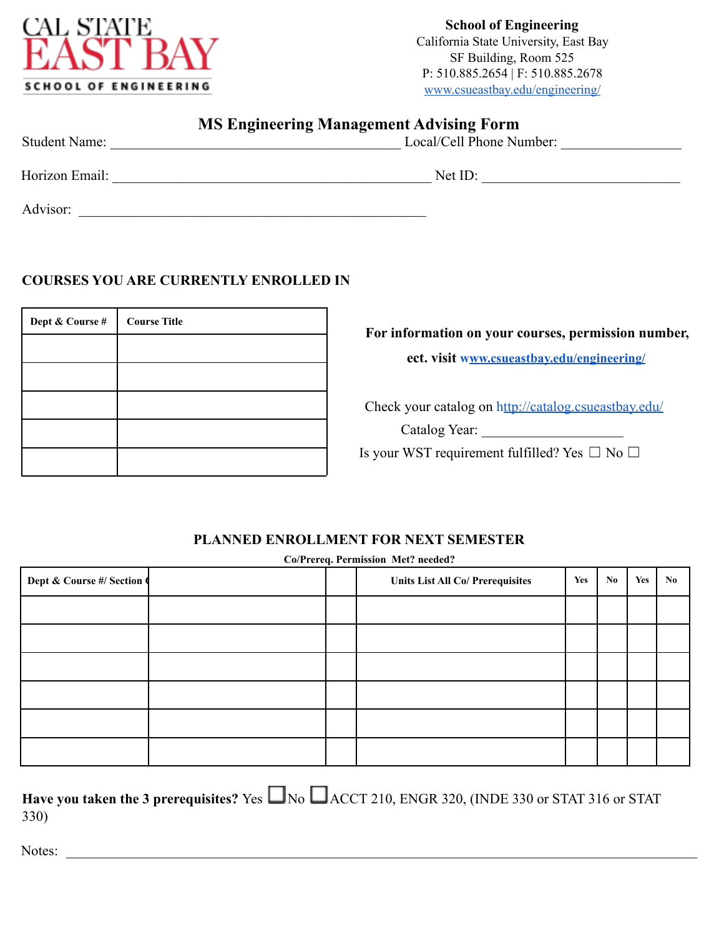

**School of Engineering** California State University, East Bay SF Building, Room 525 P: 510.885.2654 | F: 510.885.2678 www.csueastbay.edu/engineering/

|                      | <b>MS Engineering Management Advising Form</b> |  |
|----------------------|------------------------------------------------|--|
| <b>Student Name:</b> | Local/Cell Phone Number:                       |  |
| Horizon Email:       | Net ID:                                        |  |
| Advisor:             |                                                |  |

## **COURSES YOU ARE CURRENTLY ENROLLED IN**

| Dept & Course # | <b>Course Title</b> |
|-----------------|---------------------|
|                 |                     |
|                 |                     |
|                 |                     |
|                 |                     |
|                 |                     |

**For information on your courses, permission number,**

**ect. visit www.csueastbay.edu/engineering/**

Check your catalog on http://catalog.csueastbay.edu/

Catalog Year: \_\_\_\_\_\_\_\_\_\_\_\_\_\_\_\_\_\_\_\_

Is your WST requirement fulfilled? Yes  $\Box$  No  $\Box$ 

## **PLANNED ENROLLMENT FOR NEXT SEMESTER**

| Co/Prereq. Permission Met? needed? |  |  |                                         |     |    |            |     |
|------------------------------------|--|--|-----------------------------------------|-----|----|------------|-----|
| Dept & Course #/ Section           |  |  | <b>Units List All Co/ Prerequisites</b> | Yes | No | <b>Yes</b> | No. |
|                                    |  |  |                                         |     |    |            |     |
|                                    |  |  |                                         |     |    |            |     |
|                                    |  |  |                                         |     |    |            |     |
|                                    |  |  |                                         |     |    |            |     |
|                                    |  |  |                                         |     |    |            |     |
|                                    |  |  |                                         |     |    |            |     |

| Have you taken the 3 prerequisites? Yes $\Box$ No $\Box$ ACCT 210, ENGR 320, (INDE 330 or STAT 316 or STAT |  |  |  |  |
|------------------------------------------------------------------------------------------------------------|--|--|--|--|
| <b>330</b> )                                                                                               |  |  |  |  |

Notes: \_\_\_\_\_\_\_\_\_\_\_\_\_\_\_\_\_\_\_\_\_\_\_\_\_\_\_\_\_\_\_\_\_\_\_\_\_\_\_\_\_\_\_\_\_\_\_\_\_\_\_\_\_\_\_\_\_\_\_\_\_\_\_\_\_\_\_\_\_\_\_\_\_\_\_\_\_\_\_\_\_\_\_\_\_\_\_\_\_